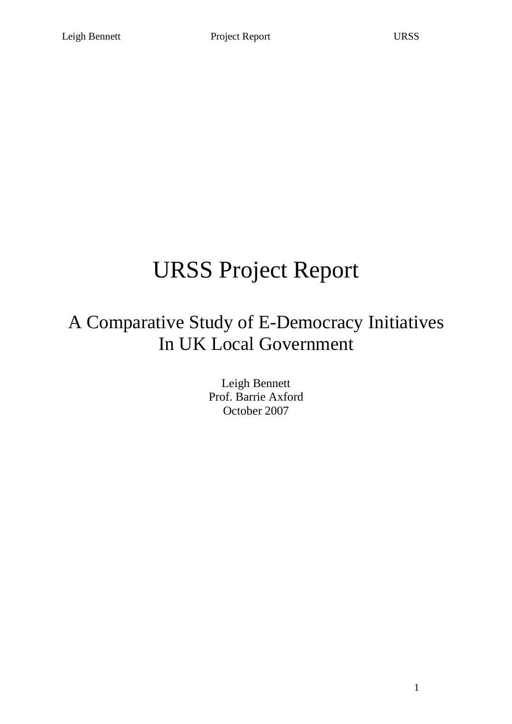## URSS Project Report

## A Comparative Study of E-Democracy Initiatives In UK Local Government

Leigh Bennett Prof. Barrie Axford October 2007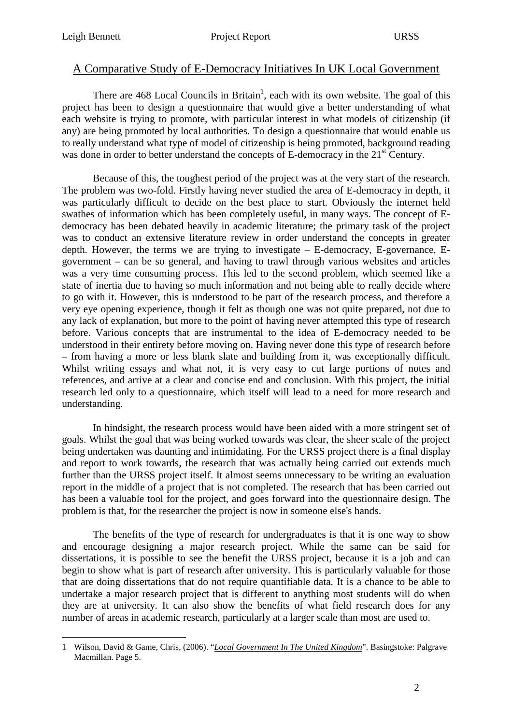## A Comparative Study of E-Democracy Initiatives In UK Local Government

There are 468 Local Councils in Britain<sup>1</sup>, each with its own website. The goal of this project has been to design a questionnaire that would give a better understanding of what each website is trying to promote, with particular interest in what models of citizenship (if any) are being promoted by local authorities. To design a questionnaire that would enable us to really understand what type of model of citizenship is being promoted, background reading was done in order to better understand the concepts of E-democracy in the 21<sup>st</sup> Century.

 Because of this, the toughest period of the project was at the very start of the research. The problem was two-fold. Firstly having never studied the area of E-democracy in depth, it was particularly difficult to decide on the best place to start. Obviously the internet held swathes of information which has been completely useful, in many ways. The concept of Edemocracy has been debated heavily in academic literature; the primary task of the project was to conduct an extensive literature review in order understand the concepts in greater depth. However, the terms we are trying to investigate – E-democracy, E-governance, Egovernment – can be so general, and having to trawl through various websites and articles was a very time consuming process. This led to the second problem, which seemed like a state of inertia due to having so much information and not being able to really decide where to go with it. However, this is understood to be part of the research process, and therefore a very eye opening experience, though it felt as though one was not quite prepared, not due to any lack of explanation, but more to the point of having never attempted this type of research before. Various concepts that are instrumental to the idea of E-democracy needed to be understood in their entirety before moving on. Having never done this type of research before – from having a more or less blank slate and building from it, was exceptionally difficult. Whilst writing essays and what not, it is very easy to cut large portions of notes and references, and arrive at a clear and concise end and conclusion. With this project, the initial research led only to a questionnaire, which itself will lead to a need for more research and understanding.

 In hindsight, the research process would have been aided with a more stringent set of goals. Whilst the goal that was being worked towards was clear, the sheer scale of the project being undertaken was daunting and intimidating. For the URSS project there is a final display and report to work towards, the research that was actually being carried out extends much further than the URSS project itself. It almost seems unnecessary to be writing an evaluation report in the middle of a project that is not completed. The research that has been carried out has been a valuable tool for the project, and goes forward into the questionnaire design. The problem is that, for the researcher the project is now in someone else's hands.

 The benefits of the type of research for undergraduates is that it is one way to show and encourage designing a major research project. While the same can be said for dissertations, it is possible to see the benefit the URSS project, because it is a job and can begin to show what is part of research after university. This is particularly valuable for those that are doing dissertations that do not require quantifiable data. It is a chance to be able to undertake a major research project that is different to anything most students will do when they are at university. It can also show the benefits of what field research does for any number of areas in academic research, particularly at a larger scale than most are used to.

 $\overline{a}$ 1 Wilson, David & Game, Chris, (2006). "*Local Government In The United Kingdom*". Basingstoke: Palgrave Macmillan. Page 5.